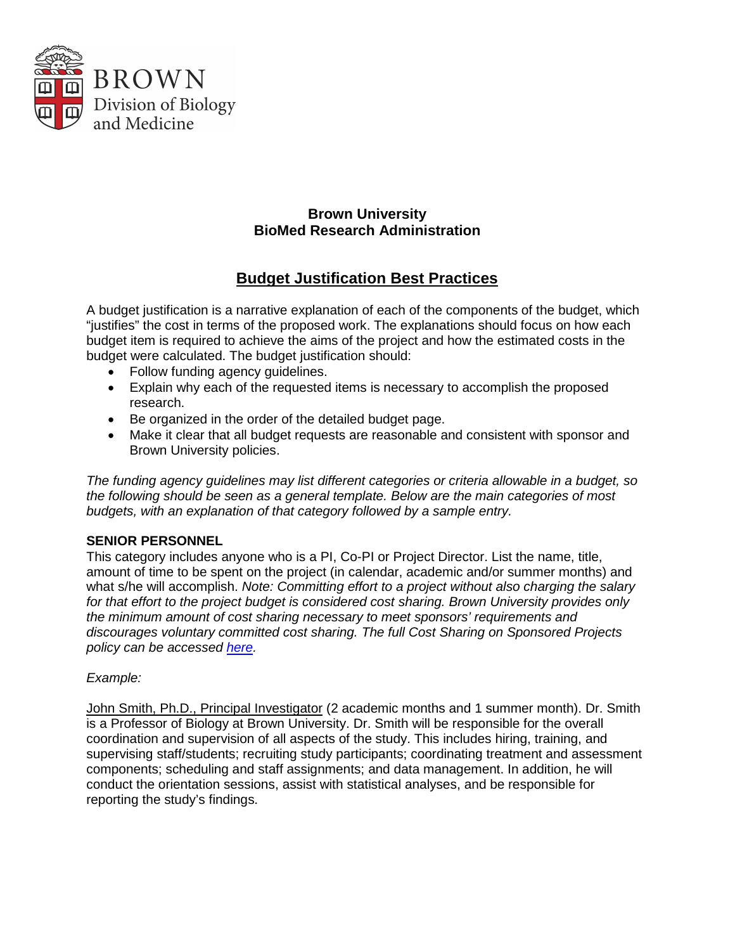

## **Brown University BioMed Research Administration**

## **Budget Justification Best Practices**

A budget justification is a narrative explanation of each of the components of the budget, which "justifies" the cost in terms of the proposed work. The explanations should focus on how each budget item is required to achieve the aims of the project and how the estimated costs in the budget were calculated. The budget justification should:

- Follow funding agency guidelines.
- Explain why each of the requested items is necessary to accomplish the proposed research.
- Be organized in the order of the detailed budget page.
- Make it clear that all budget requests are reasonable and consistent with sponsor and Brown University policies.

*The funding agency guidelines may list different categories or criteria allowable in a budget, so the following should be seen as a general template. Below are the main categories of most budgets, with an explanation of that category followed by a sample entry.* 

## **SENIOR PERSONNEL**

This category includes anyone who is a PI, Co-PI or Project Director. List the name, title, amount of time to be spent on the project (in calendar, academic and/or summer months) and what s/he will accomplish. *Note: Committing effort to a project without also charging the salary for that effort to the project budget is considered cost sharing. Brown University provides only the minimum amount of cost sharing necessary to meet sponsors' requirements and discourages voluntary committed cost sharing. The full Cost Sharing on Sponsored Projects policy can be accessed [here.](http://www.brown.edu/research/sites/brown.edu.research/files/Cost_Sharing_Policy.pdf)* 

## *Example:*

John Smith, Ph.D., Principal Investigator (2 academic months and 1 summer month). Dr. Smith is a Professor of Biology at Brown University. Dr. Smith will be responsible for the overall coordination and supervision of all aspects of the study. This includes hiring, training, and supervising staff/students; recruiting study participants; coordinating treatment and assessment components; scheduling and staff assignments; and data management. In addition, he will conduct the orientation sessions, assist with statistical analyses, and be responsible for reporting the study's findings.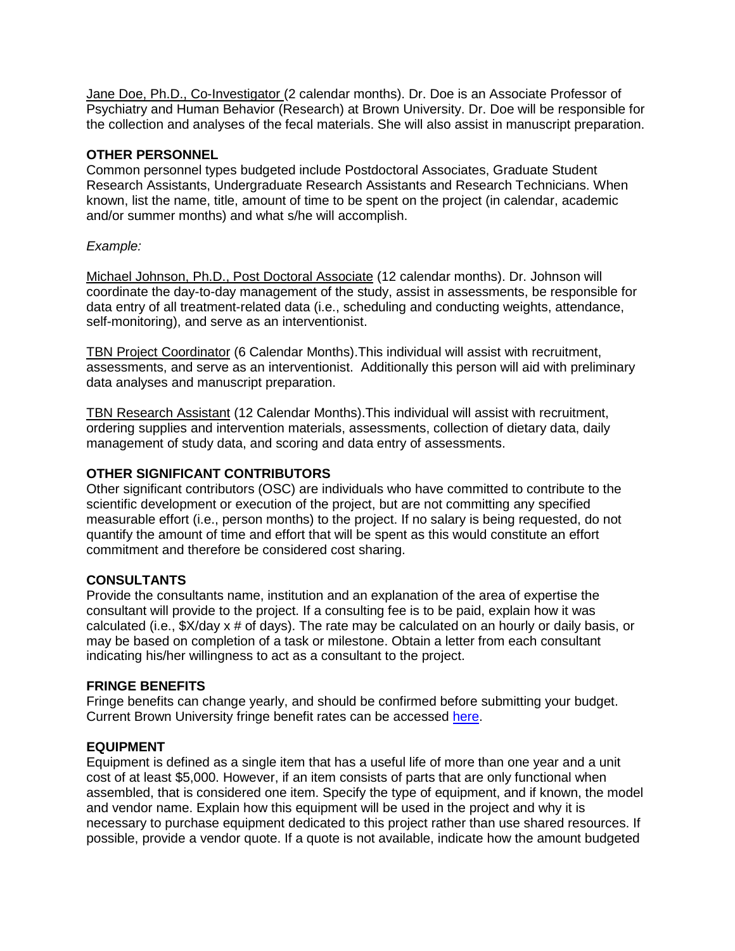Jane Doe, Ph.D., Co-Investigator (2 calendar months). Dr. Doe is an Associate Professor of Psychiatry and Human Behavior (Research) at Brown University. Dr. Doe will be responsible for the collection and analyses of the fecal materials. She will also assist in manuscript preparation.

#### **OTHER PERSONNEL**

Common personnel types budgeted include Postdoctoral Associates, Graduate Student Research Assistants, Undergraduate Research Assistants and Research Technicians. When known, list the name, title, amount of time to be spent on the project (in calendar, academic and/or summer months) and what s/he will accomplish.

## *Example:*

Michael Johnson, Ph.D., Post Doctoral Associate (12 calendar months). Dr. Johnson will coordinate the day-to-day management of the study, assist in assessments, be responsible for data entry of all treatment-related data (i.e., scheduling and conducting weights, attendance, self-monitoring), and serve as an interventionist.

TBN Project Coordinator (6 Calendar Months).This individual will assist with recruitment, assessments, and serve as an interventionist. Additionally this person will aid with preliminary data analyses and manuscript preparation.

TBN Research Assistant (12 Calendar Months).This individual will assist with recruitment, ordering supplies and intervention materials, assessments, collection of dietary data, daily management of study data, and scoring and data entry of assessments.

## **OTHER SIGNIFICANT CONTRIBUTORS**

Other significant contributors (OSC) are individuals who have committed to contribute to the scientific development or execution of the project, but are not committing any specified measurable effort (i.e., person months) to the project. If no salary is being requested, do not quantify the amount of time and effort that will be spent as this would constitute an effort commitment and therefore be considered cost sharing.

#### **CONSULTANTS**

Provide the consultants name, institution and an explanation of the area of expertise the consultant will provide to the project. If a consulting fee is to be paid, explain how it was calculated (i.e., \$X/day x # of days). The rate may be calculated on an hourly or daily basis, or may be based on completion of a task or milestone. Obtain a letter from each consultant indicating his/her willingness to act as a consultant to the project.

## **FRINGE BENEFITS**

Fringe benefits can change yearly, and should be confirmed before submitting your budget. Current Brown University fringe benefit rates can be accessed [here.](https://www.brown.edu/about/administration/policies/fringe-benefit-rates)

#### **EQUIPMENT**

Equipment is defined as a single item that has a useful life of more than one year and a unit cost of at least \$5,000. However, if an item consists of parts that are only functional when assembled, that is considered one item. Specify the type of equipment, and if known, the model and vendor name. Explain how this equipment will be used in the project and why it is necessary to purchase equipment dedicated to this project rather than use shared resources. If possible, provide a vendor quote. If a quote is not available, indicate how the amount budgeted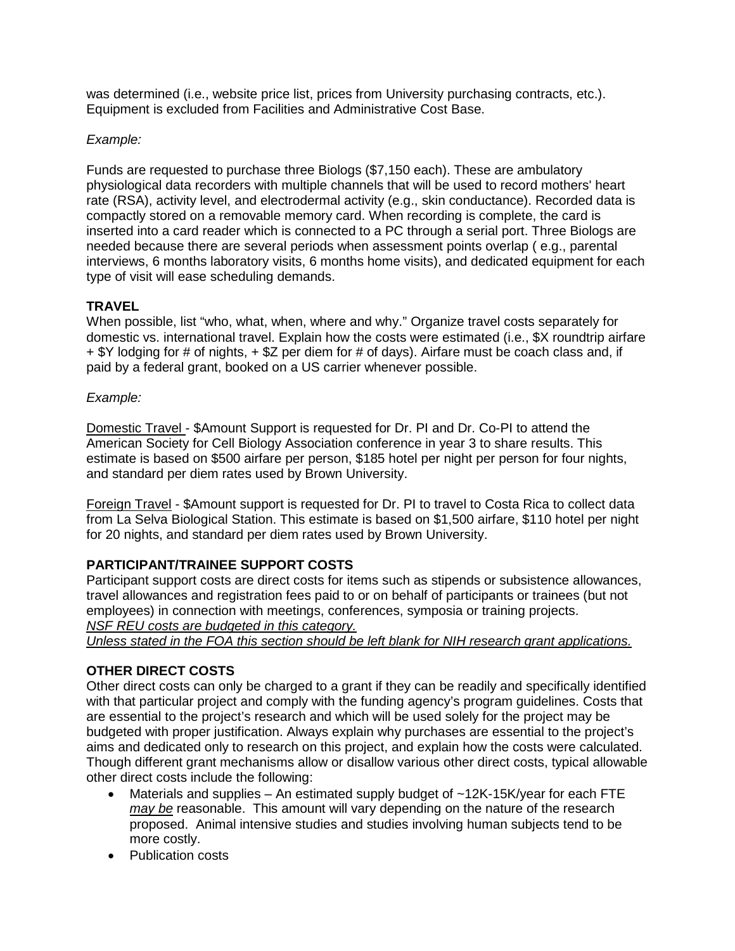was determined (i.e., website price list, prices from University purchasing contracts, etc.). Equipment is excluded from Facilities and Administrative Cost Base.

## *Example:*

Funds are requested to purchase three Biologs (\$7,150 each). These are ambulatory physiological data recorders with multiple channels that will be used to record mothers' heart rate (RSA), activity level, and electrodermal activity (e.g., skin conductance). Recorded data is compactly stored on a removable memory card. When recording is complete, the card is inserted into a card reader which is connected to a PC through a serial port. Three Biologs are needed because there are several periods when assessment points overlap ( e.g., parental interviews, 6 months laboratory visits, 6 months home visits), and dedicated equipment for each type of visit will ease scheduling demands.

## **TRAVEL**

When possible, list "who, what, when, where and why." Organize travel costs separately for domestic vs. international travel. Explain how the costs were estimated (i.e., \$X roundtrip airfare + \$Y lodging for # of nights, + \$Z per diem for # of days). Airfare must be coach class and, if paid by a federal grant, booked on a US carrier whenever possible.

## *Example:*

Domestic Travel - \$Amount Support is requested for Dr. PI and Dr. Co-PI to attend the American Society for Cell Biology Association conference in year 3 to share results. This estimate is based on \$500 airfare per person, \$185 hotel per night per person for four nights, and standard per diem rates used by Brown University.

Foreign Travel - \$Amount support is requested for Dr. PI to travel to Costa Rica to collect data from La Selva Biological Station. This estimate is based on \$1,500 airfare, \$110 hotel per night for 20 nights, and standard per diem rates used by Brown University.

## **PARTICIPANT/TRAINEE SUPPORT COSTS**

Participant support costs are direct costs for items such as stipends or subsistence allowances, travel allowances and registration fees paid to or on behalf of participants or trainees (but not employees) in connection with meetings, conferences, symposia or training projects. *NSF REU costs are budgeted in this category.* 

*Unless stated in the FOA this section should be left blank for NIH research grant applications.*

## **OTHER DIRECT COSTS**

Other direct costs can only be charged to a grant if they can be readily and specifically identified with that particular project and comply with the funding agency's program guidelines. Costs that are essential to the project's research and which will be used solely for the project may be budgeted with proper justification. Always explain why purchases are essential to the project's aims and dedicated only to research on this project, and explain how the costs were calculated. Though different grant mechanisms allow or disallow various other direct costs, typical allowable other direct costs include the following:

- Materials and supplies  $-$  An estimated supply budget of  $\sim$ 12K-15K/year for each FTE *may be* reasonable. This amount will vary depending on the nature of the research proposed. Animal intensive studies and studies involving human subjects tend to be more costly.
- Publication costs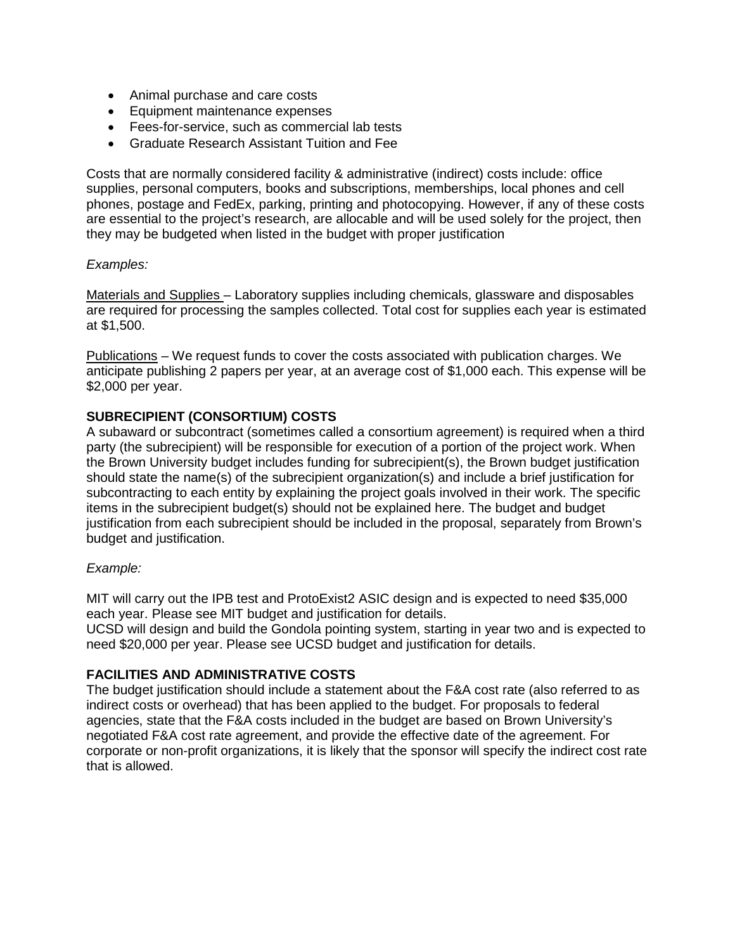- Animal purchase and care costs
- Equipment maintenance expenses
- Fees-for-service, such as commercial lab tests
- Graduate Research Assistant Tuition and Fee

Costs that are normally considered facility & administrative (indirect) costs include: office supplies, personal computers, books and subscriptions, memberships, local phones and cell phones, postage and FedEx, parking, printing and photocopying. However, if any of these costs are essential to the project's research, are allocable and will be used solely for the project, then they may be budgeted when listed in the budget with proper justification

#### *Examples:*

Materials and Supplies – Laboratory supplies including chemicals, glassware and disposables are required for processing the samples collected. Total cost for supplies each year is estimated at \$1,500.

Publications – We request funds to cover the costs associated with publication charges. We anticipate publishing 2 papers per year, at an average cost of \$1,000 each. This expense will be \$2,000 per year.

## **SUBRECIPIENT (CONSORTIUM) COSTS**

A subaward or subcontract (sometimes called a consortium agreement) is required when a third party (the subrecipient) will be responsible for execution of a portion of the project work. When the Brown University budget includes funding for subrecipient(s), the Brown budget justification should state the name(s) of the subrecipient organization(s) and include a brief justification for subcontracting to each entity by explaining the project goals involved in their work. The specific items in the subrecipient budget(s) should not be explained here. The budget and budget justification from each subrecipient should be included in the proposal, separately from Brown's budget and justification.

#### *Example:*

MIT will carry out the IPB test and ProtoExist2 ASIC design and is expected to need \$35,000 each year. Please see MIT budget and justification for details.

UCSD will design and build the Gondola pointing system, starting in year two and is expected to need \$20,000 per year. Please see UCSD budget and justification for details.

## **FACILITIES AND ADMINISTRATIVE COSTS**

The budget justification should include a statement about the F&A cost rate (also referred to as indirect costs or overhead) that has been applied to the budget. For proposals to federal agencies, state that the F&A costs included in the budget are based on Brown University's negotiated F&A cost rate agreement, and provide the effective date of the agreement. For corporate or non-profit organizations, it is likely that the sponsor will specify the indirect cost rate that is allowed.